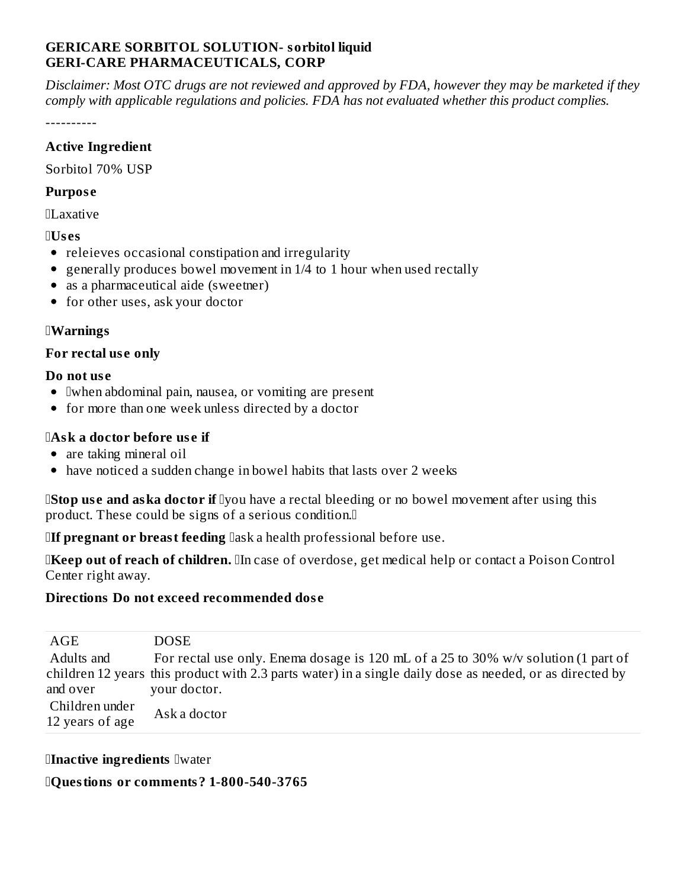### **GERICARE SORBITOL SOLUTION- sorbitol liquid GERI-CARE PHARMACEUTICALS, CORP**

Disclaimer: Most OTC drugs are not reviewed and approved by FDA, however they may be marketed if they comply with applicable regulations and policies. FDA has not evaluated whether this product complies.

-----------

#### **Active Ingredient**

Sorbitol 70% USP

#### **Purpose**

 $\Pi$  axative

### $\mathbb{I}$ Uses

- releieves occasional constipation and irregularity
- generally produces bowel movement in  $1/4$  to 1 hour when used rectally
- as a pharmaceutical aide (sweetner)
- for other uses, ask your doctor

## **IWarnings**

## For rectal use only

### Do not use

- Iwhen abdominal pain, nausea, or vomiting are present
- for more than one week unless directed by a doctor

# **IAsk a doctor before use if**

- are taking mineral oil
- have noticed a sudden change in bowel habits that lasts over 2 weeks

**IStop use and aska doctor if** Iyou have a rectal bleeding or no bowel movement after using this product. These could be signs of a serious condition.<sup>[]</sup>

**IIf pregnant or breast feeding** lask a health professional before use.

**IKeep out of reach of children.** In case of overdose, get medical help or contact a Poison Control Center right away.

# Directions Do not exceed recommended dose

| AGE                               | <b>DOSE</b>                                                                                              |
|-----------------------------------|----------------------------------------------------------------------------------------------------------|
| Adults and                        | For rectal use only. Enema dosage is 120 mL of a 25 to 30% w/v solution (1 part of                       |
|                                   | children 12 years this product with 2.3 parts water) in a single daily dose as needed, or as directed by |
| and over                          | your doctor.                                                                                             |
| Children under<br>12 years of age | Ask a doctor                                                                                             |

### **Inactive ingredients Iwater**

**Questions or comments? 1-800-540-3765**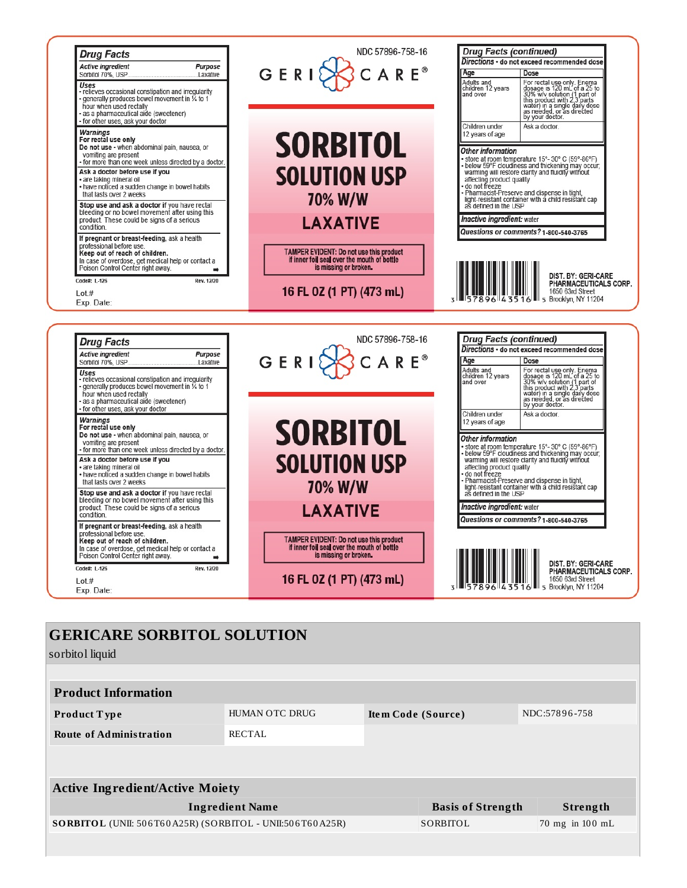

| <b>GERICARE SORBITOL SOLUTION</b><br>sorbitol liquid     |                       |                          |  |                 |
|----------------------------------------------------------|-----------------------|--------------------------|--|-----------------|
|                                                          |                       |                          |  |                 |
| <b>Product Information</b>                               |                       |                          |  |                 |
| Product Type                                             | <b>HUMAN OTC DRUG</b> | Item Code (Source)       |  | NDC:57896-758   |
| <b>Route of Administration</b>                           | <b>RECTAL</b>         |                          |  |                 |
|                                                          |                       |                          |  |                 |
| <b>Active Ingredient/Active Moiety</b>                   |                       |                          |  |                 |
| <b>Ingredient Name</b>                                   |                       | <b>Basis of Strength</b> |  |                 |
| SORBITOL (UNII: 506T60A25R) (SORBITOL - UNII:506T60A25R) |                       | SORBITOL                 |  | 70 mg in 100 mL |
|                                                          |                       |                          |  |                 |
|                                                          |                       |                          |  |                 |
|                                                          |                       |                          |  |                 |